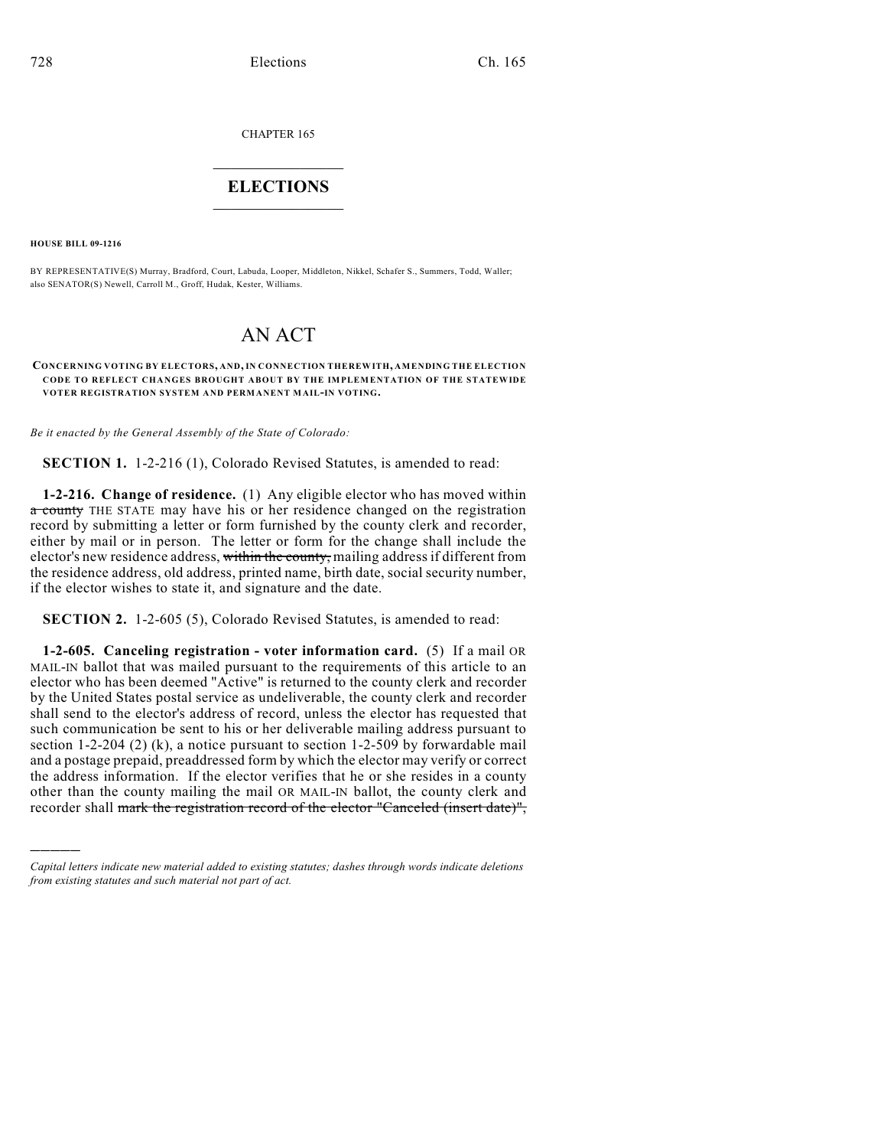CHAPTER 165

## $\mathcal{L}_\text{max}$  . The set of the set of the set of the set of the set of the set of the set of the set of the set of the set of the set of the set of the set of the set of the set of the set of the set of the set of the set **ELECTIONS**  $\_$

**HOUSE BILL 09-1216**

)))))

BY REPRESENTATIVE(S) Murray, Bradford, Court, Labuda, Looper, Middleton, Nikkel, Schafer S., Summers, Todd, Waller; also SENATOR(S) Newell, Carroll M., Groff, Hudak, Kester, Williams.

## AN ACT

## **CONCERNING VOTING BY ELECTORS, AND, IN CONNECTION THEREWITH, AMENDING THE ELECTION CODE TO REFLECT CHANGES BROUGHT ABOUT BY THE IMPLEMENTATION OF THE STATEWIDE VOTER REGISTRATION SYSTEM AND PERMANENT MAIL-IN VOTING.**

*Be it enacted by the General Assembly of the State of Colorado:*

**SECTION 1.** 1-2-216 (1), Colorado Revised Statutes, is amended to read:

**1-2-216. Change of residence.** (1) Any eligible elector who has moved within a county THE STATE may have his or her residence changed on the registration record by submitting a letter or form furnished by the county clerk and recorder, either by mail or in person. The letter or form for the change shall include the elector's new residence address, within the county, mailing address if different from the residence address, old address, printed name, birth date, social security number, if the elector wishes to state it, and signature and the date.

**SECTION 2.** 1-2-605 (5), Colorado Revised Statutes, is amended to read:

**1-2-605. Canceling registration - voter information card.** (5) If a mail OR MAIL-IN ballot that was mailed pursuant to the requirements of this article to an elector who has been deemed "Active" is returned to the county clerk and recorder by the United States postal service as undeliverable, the county clerk and recorder shall send to the elector's address of record, unless the elector has requested that such communication be sent to his or her deliverable mailing address pursuant to section 1-2-204 (2) (k), a notice pursuant to section 1-2-509 by forwardable mail and a postage prepaid, preaddressed form by which the elector may verify or correct the address information. If the elector verifies that he or she resides in a county other than the county mailing the mail OR MAIL-IN ballot, the county clerk and recorder shall mark the registration record of the elector "Canceled (insert date)",

*Capital letters indicate new material added to existing statutes; dashes through words indicate deletions from existing statutes and such material not part of act.*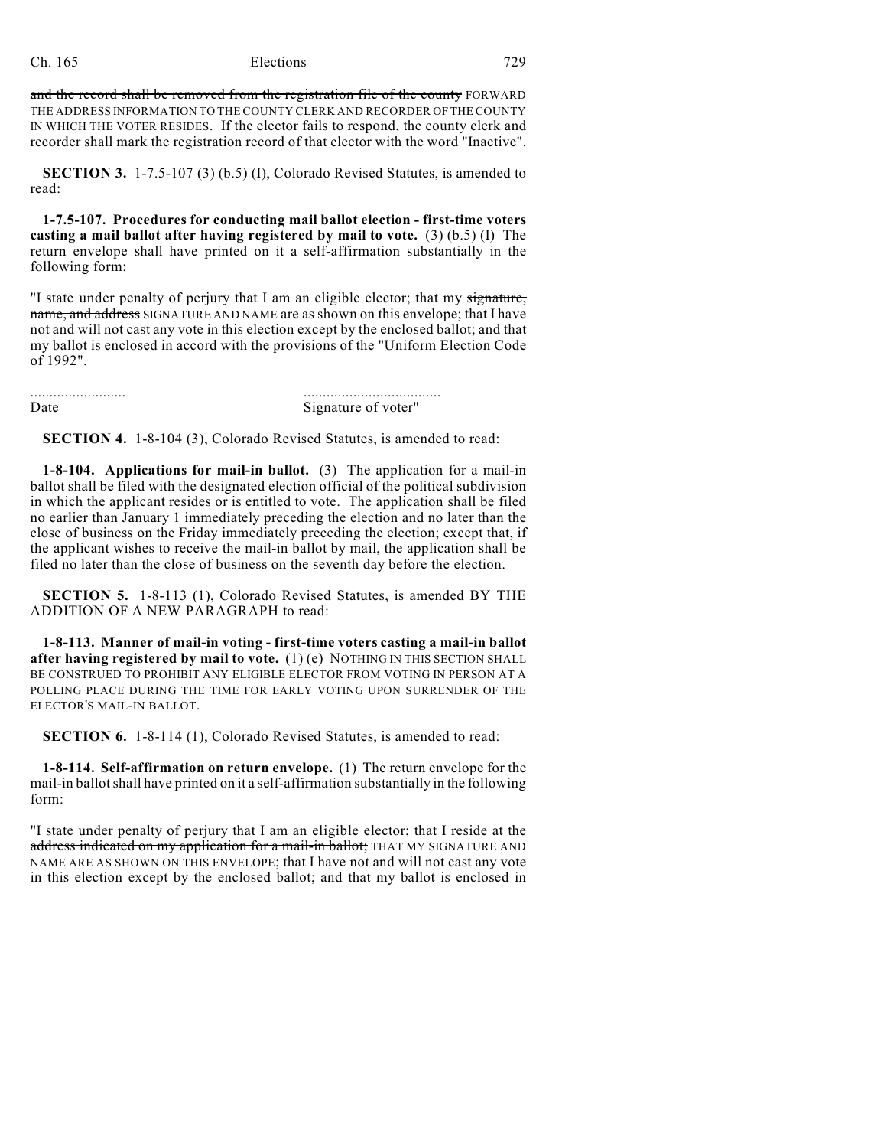and the record shall be removed from the registration file of the county FORWARD THE ADDRESS INFORMATION TO THE COUNTY CLERK AND RECORDER OF THE COUNTY IN WHICH THE VOTER RESIDES. If the elector fails to respond, the county clerk and recorder shall mark the registration record of that elector with the word "Inactive".

**SECTION 3.** 1-7.5-107 (3) (b.5) (I), Colorado Revised Statutes, is amended to read:

**1-7.5-107. Procedures for conducting mail ballot election - first-time voters casting a mail ballot after having registered by mail to vote.** (3) (b.5) (I) The return envelope shall have printed on it a self-affirmation substantially in the following form:

"I state under penalty of perjury that I am an eligible elector; that my signature, name, and address SIGNATURE AND NAME are as shown on this envelope; that I have not and will not cast any vote in this election except by the enclosed ballot; and that my ballot is enclosed in accord with the provisions of the "Uniform Election Code of 1992".

......................... .................................... Date Signature of voter"

**SECTION 4.** 1-8-104 (3), Colorado Revised Statutes, is amended to read:

**1-8-104. Applications for mail-in ballot.** (3) The application for a mail-in ballot shall be filed with the designated election official of the political subdivision in which the applicant resides or is entitled to vote. The application shall be filed no earlier than January 1 immediately preceding the election and no later than the close of business on the Friday immediately preceding the election; except that, if the applicant wishes to receive the mail-in ballot by mail, the application shall be filed no later than the close of business on the seventh day before the election.

**SECTION 5.** 1-8-113 (1), Colorado Revised Statutes, is amended BY THE ADDITION OF A NEW PARAGRAPH to read:

**1-8-113. Manner of mail-in voting - first-time voters casting a mail-in ballot after having registered by mail to vote.** (1) (e) NOTHING IN THIS SECTION SHALL BE CONSTRUED TO PROHIBIT ANY ELIGIBLE ELECTOR FROM VOTING IN PERSON AT A POLLING PLACE DURING THE TIME FOR EARLY VOTING UPON SURRENDER OF THE ELECTOR'S MAIL-IN BALLOT.

**SECTION 6.** 1-8-114 (1), Colorado Revised Statutes, is amended to read:

**1-8-114. Self-affirmation on return envelope.** (1) The return envelope for the mail-in ballot shall have printed on it a self-affirmation substantially in the following form:

"I state under penalty of perjury that I am an eligible elector; that I reside at the address indicated on my application for a mail-in ballot; THAT MY SIGNATURE AND NAME ARE AS SHOWN ON THIS ENVELOPE; that I have not and will not cast any vote in this election except by the enclosed ballot; and that my ballot is enclosed in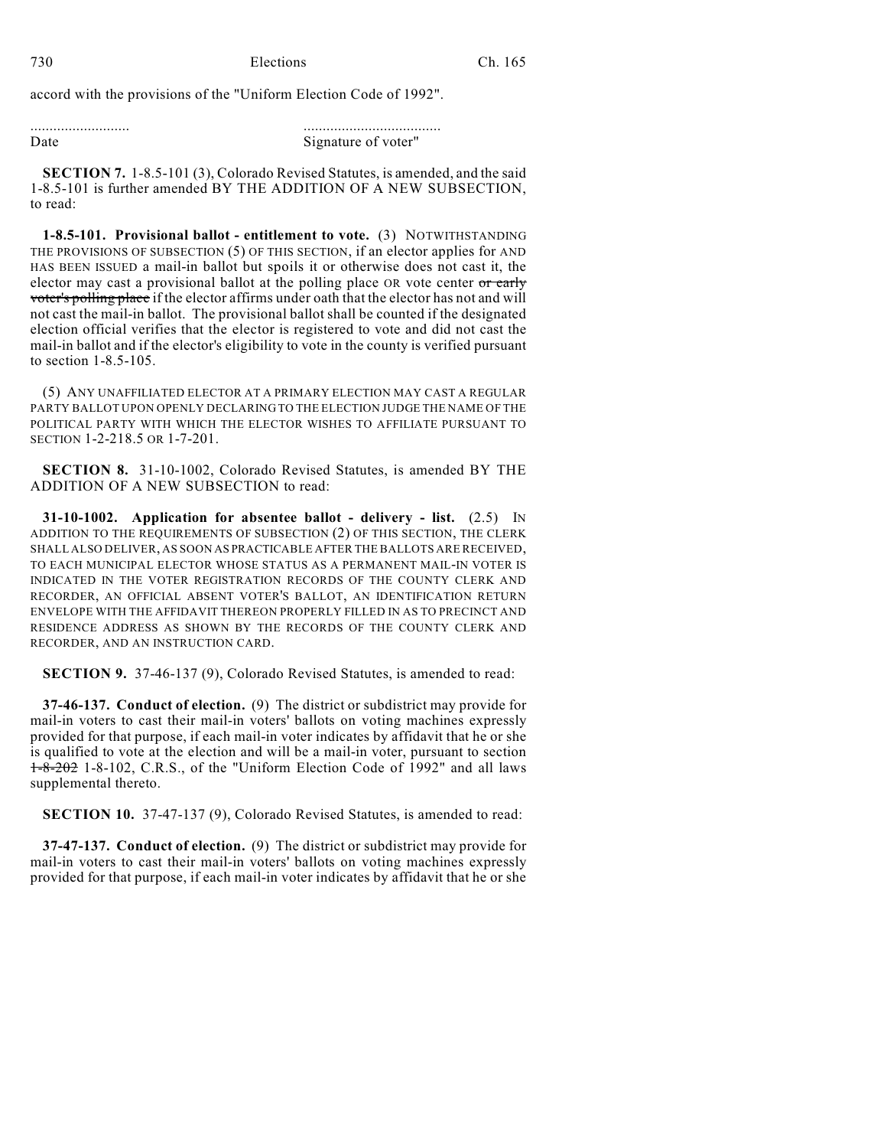accord with the provisions of the "Uniform Election Code of 1992".

| Date | Signature of voter" |
|------|---------------------|

**SECTION 7.** 1-8.5-101 (3), Colorado Revised Statutes, is amended, and the said 1-8.5-101 is further amended BY THE ADDITION OF A NEW SUBSECTION, to read:

**1-8.5-101. Provisional ballot - entitlement to vote.** (3) NOTWITHSTANDING THE PROVISIONS OF SUBSECTION (5) OF THIS SECTION, if an elector applies for AND HAS BEEN ISSUED a mail-in ballot but spoils it or otherwise does not cast it, the elector may cast a provisional ballot at the polling place OR vote center or early voter's polling place if the elector affirms under oath that the elector has not and will not cast the mail-in ballot. The provisional ballot shall be counted if the designated election official verifies that the elector is registered to vote and did not cast the mail-in ballot and if the elector's eligibility to vote in the county is verified pursuant to section 1-8.5-105.

(5) ANY UNAFFILIATED ELECTOR AT A PRIMARY ELECTION MAY CAST A REGULAR PARTY BALLOT UPON OPENLY DECLARING TO THE ELECTION JUDGE THE NAME OF THE POLITICAL PARTY WITH WHICH THE ELECTOR WISHES TO AFFILIATE PURSUANT TO SECTION 1-2-218.5 OR 1-7-201.

**SECTION 8.** 31-10-1002, Colorado Revised Statutes, is amended BY THE ADDITION OF A NEW SUBSECTION to read:

**31-10-1002. Application for absentee ballot - delivery - list.** (2.5) IN ADDITION TO THE REQUIREMENTS OF SUBSECTION (2) OF THIS SECTION, THE CLERK SHALL ALSO DELIVER, AS SOON AS PRACTICABLE AFTER THE BALLOTS ARE RECEIVED, TO EACH MUNICIPAL ELECTOR WHOSE STATUS AS A PERMANENT MAIL-IN VOTER IS INDICATED IN THE VOTER REGISTRATION RECORDS OF THE COUNTY CLERK AND RECORDER, AN OFFICIAL ABSENT VOTER'S BALLOT, AN IDENTIFICATION RETURN ENVELOPE WITH THE AFFIDAVIT THEREON PROPERLY FILLED IN AS TO PRECINCT AND RESIDENCE ADDRESS AS SHOWN BY THE RECORDS OF THE COUNTY CLERK AND RECORDER, AND AN INSTRUCTION CARD.

**SECTION 9.** 37-46-137 (9), Colorado Revised Statutes, is amended to read:

**37-46-137. Conduct of election.** (9) The district or subdistrict may provide for mail-in voters to cast their mail-in voters' ballots on voting machines expressly provided for that purpose, if each mail-in voter indicates by affidavit that he or she is qualified to vote at the election and will be a mail-in voter, pursuant to section 1-8-202 1-8-102, C.R.S., of the "Uniform Election Code of 1992" and all laws supplemental thereto.

**SECTION 10.** 37-47-137 (9), Colorado Revised Statutes, is amended to read:

**37-47-137. Conduct of election.** (9) The district or subdistrict may provide for mail-in voters to cast their mail-in voters' ballots on voting machines expressly provided for that purpose, if each mail-in voter indicates by affidavit that he or she